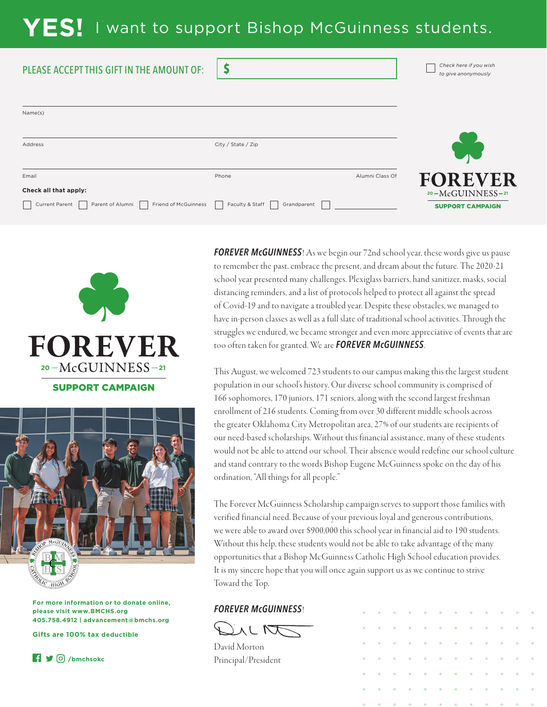## **YES!** I want to support Bishop McGuinness students.

\$

| PLEASE ACCEPT THIS GIFT IN THE AMOUNT OF: |  |  |
|-------------------------------------------|--|--|
|                                           |  |  |

| Name(s)                                                                                                           |                    |                 |                                               |
|-------------------------------------------------------------------------------------------------------------------|--------------------|-----------------|-----------------------------------------------|
| Address                                                                                                           | City / State / Zip |                 |                                               |
| Email                                                                                                             | Phone              | Alumni Class Of | <b>FOREVER</b>                                |
| Check all that apply:<br>Current Parent   Parent of Alumni   Friend of McGuinness   Faculty & Staff   Grandparent |                    |                 | $20-McGUINNESS-21$<br><b>SUPPORT CAMPAIGN</b> |





**For more information or to donate online, please visit www.BMCHS.org 405.758.4912 | advancement@bmchs.org**

**Gifts are 100% tax deductible**



*FOREVER McGUINNESS*! As we begin our 72nd school year, these words give us pause to remember the past, embrace the present, and dream about the future. The 2020-21 school year presented many challenges. Plexiglass barriers, hand sanitizer, masks, social distancing reminders, and a list of protocols helped to protect all against the spread of Covid-19 and to navigate a troubled year. Despite these obstacles, we managed to have in-person classes as well as a full slate of traditional school activities. Through the struggles we endured, we became stronger and even more appreciative of events that are too often taken for granted. We are *FOREVER McGUINNESS*.

*Check here if you wish to give anonymously*

This August, we welcomed 723 students to our campus making this the largest student population in our school's history. Our diverse school community is comprised of 166 sophomores, 170 juniors, 171 seniors, along with the second largest freshman enrollment of 216 students. Coming from over 30 different middle schools across the greater Oklahoma City Metropolitan area, 27% of our students are recipients of our need-based scholarships. Without this financial assistance, many of these students would not be able to attend our school. Their absence would redefine our school culture and stand contrary to the words Bishop Eugene McGuinness spoke on the day of his ordination, "All things for all people."

The Forever McGuinness Scholarship campaign serves to support those families with verified financial need. Because of your previous loyal and generous contributions, we were able to award over \$900,000 this school year in financial aid to 190 students. Without this help, these students would not be able to take advantage of the many opportunities that a Bishop McGuinness Catholic High School education provides. It is my sincere hope that you will once again support us as we continue to strive Toward the Top.

## *FOREVER McGUINNESS*!



David Morton Principal/President